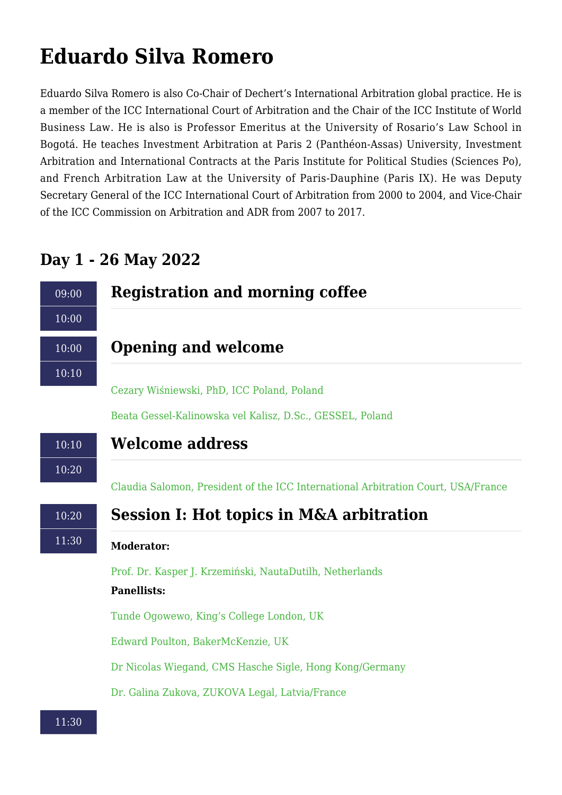# **Eduardo Silva Romero**

Eduardo Silva Romero is also Co-Chair of Dechert's International Arbitration global practice. He is a member of the ICC International Court of Arbitration and the Chair of the ICC Institute of World Business Law. He is also is Professor Emeritus at the University of Rosario's Law School in Bogotá. He teaches Investment Arbitration at Paris 2 (Panthéon-Assas) University, Investment Arbitration and International Contracts at the Paris Institute for Political Studies (Sciences Po), and French Arbitration Law at the University of Paris-Dauphine (Paris IX). He was Deputy Secretary General of the ICC International Court of Arbitration from 2000 to 2004, and Vice-Chair of the ICC Commission on Arbitration and ADR from 2007 to 2017.

# 09:00  $10:00$ **Registration and morning coffee** 10:00 10:10 **Opening and welcome** [Cezary Wiśniewski, PhD, ICC Poland, Poland](https://disputeresolutionmaconference.com/?p=102) [Beata Gessel-Kalinowska vel Kalisz, D.Sc., GESSEL, Poland](https://disputeresolutionmaconference.com/?p=47) 10:10 10:20 **Welcome address** [Claudia Salomon, President of the ICC International Arbitration Court, USA/France](https://disputeresolutionmaconference.com/?p=706) 10:20 11:30 **Session I: Hot topics in M&A arbitration Moderator:** [Prof. Dr. Kasper J. Krzemiński, NautaDutilh, Netherlands](https://disputeresolutionmaconference.com/?p=749) **Panellists:** [Tunde Ogowewo, King's College London, UK](https://disputeresolutionmaconference.com/?p=808) [Edward Poulton, BakerMcKenzie, UK](https://disputeresolutionmaconference.com/?p=743) [Dr Nicolas Wiegand, CMS Hasche Sigle, Hong Kong/Germany](https://disputeresolutionmaconference.com/?p=796) [Dr. Galina Zukova, ZUKOVA Legal, Latvia/France](https://disputeresolutionmaconference.com/?p=745)

# **Day 1 - 26 May 2022**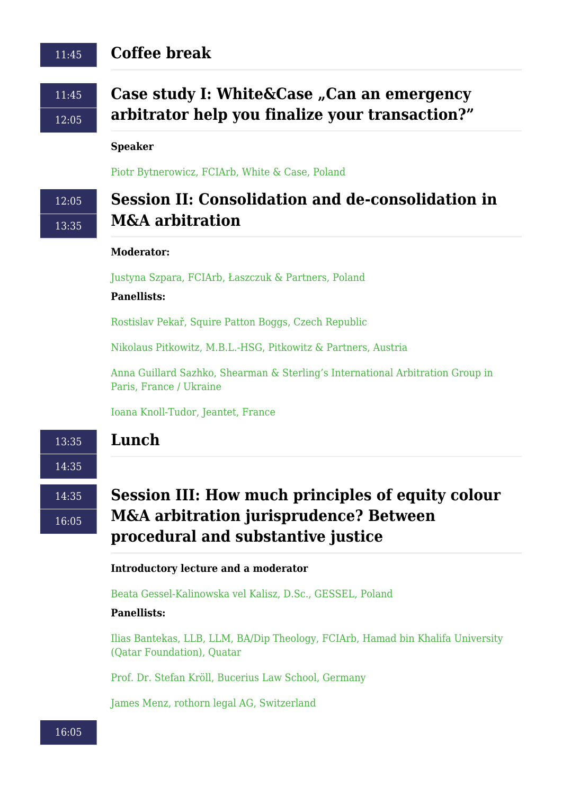### 11:45 **Coffee break**

11:45 12:05

# **Case study I: White&Case "Can an emergency arbitrator help you finalize your transaction?"**

#### **Speaker**

[Piotr Bytnerowicz, FCIArb, White & Case, Poland](https://disputeresolutionmaconference.com/?p=788)

# 12:05 13:35

# **Session II: Consolidation and de-consolidation in M&A arbitration**

#### **Moderator:**

[Justyna Szpara, FCIArb, Łaszczuk & Partners, Poland](https://disputeresolutionmaconference.com/?p=748)

### **Panellists:**

[Rostislav Pekař, Squire Patton Boggs, Czech Republic](https://disputeresolutionmaconference.com/?p=801)

[Nikolaus Pitkowitz, M.B.L.-HSG, Pitkowitz & Partners, Austria](https://disputeresolutionmaconference.com/?p=775)

[Anna Guillard Sazhko, Shearman & Sterling's International Arbitration Group in](https://disputeresolutionmaconference.com/?p=826) [Paris, France / Ukraine](https://disputeresolutionmaconference.com/?p=826)

[Ioana Knoll-Tudor, Jeantet, France](https://disputeresolutionmaconference.com/?p=914)

### **Lunch**

14:35

14:35

13:35

16:05

# **Session III: How much principles of equity colour M&A arbitration jurisprudence? Between procedural and substantive justice**

#### **Introductory lecture and a moderator**

[Beata Gessel-Kalinowska vel Kalisz, D.Sc., GESSEL, Poland](https://disputeresolutionmaconference.com/?p=47)

#### **Panellists:**

[Ilias Bantekas, LLB, LLM, BA/Dip Theology, FCIArb, Hamad bin Khalifa University](https://disputeresolutionmaconference.com/?p=747) [\(Qatar Foundation\), Quatar](https://disputeresolutionmaconference.com/?p=747)

[Prof. Dr. Stefan Kröll, Bucerius Law School, Germany](https://disputeresolutionmaconference.com/?p=750)

[James Menz, rothorn legal AG, Switzerland](https://disputeresolutionmaconference.com/?p=824)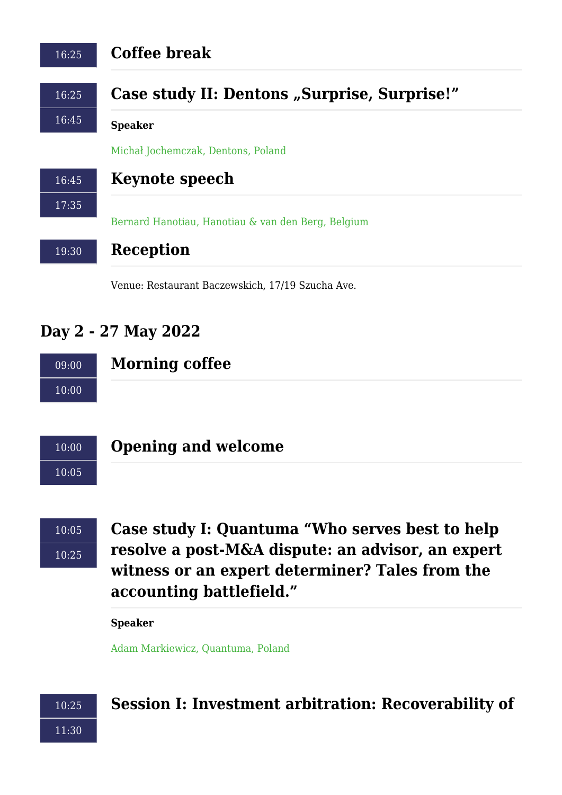| <b>Coffee break</b>                                |
|----------------------------------------------------|
| Case study II: Dentons "Surprise, Surprise!"       |
| <b>Speaker</b>                                     |
| Michał Jochemczak, Dentons, Poland                 |
| <b>Keynote speech</b>                              |
|                                                    |
| Bernard Hanotiau, Hanotiau & van den Berg, Belgium |
| Reception                                          |
|                                                    |

Venue: Restaurant Baczewskich, 17/19 Szucha Ave.

# **Day 2 - 27 May 2022**

| 09:00 | <b>Morning coffee</b> |
|-------|-----------------------|
| 10:00 |                       |



### **Opening and welcome**

 $10:05$ 10:25

**Case study I: Quantuma "Who serves best to help resolve a post-M&A dispute: an advisor, an expert witness or an expert determiner? Tales from the accounting battlefield."**

**Speaker**

[Adam Markiewicz, Quantuma, Poland](https://disputeresolutionmaconference.com/?p=761)



# **Session I: Investment arbitration: Recoverability of**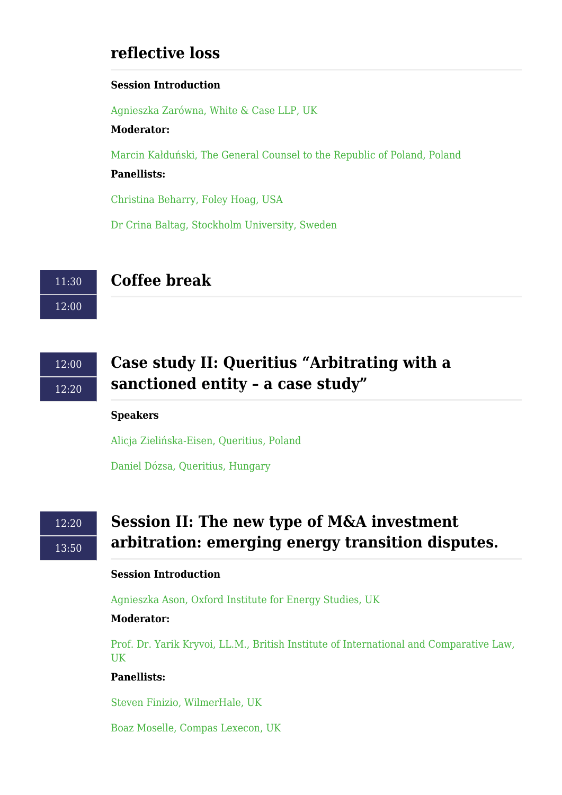### **reflective loss**

### **Session Introduction**

[Agnieszka Zarówna, White & Case LLP, UK](https://disputeresolutionmaconference.com/?p=763)

### **Moderator:**

[Marcin Kałduński, The General Counsel to the Republic of Poland, Poland](https://disputeresolutionmaconference.com/?p=756) **Panellists:**

[Christina Beharry, Foley Hoag, USA](https://disputeresolutionmaconference.com/?p=742)

[Dr Crina Baltag, Stockholm University, Sweden](https://disputeresolutionmaconference.com/?p=813)

11:30 12:00

# **Coffee break**

12:00 12:20

# **Case study II: Queritius "Arbitrating with a sanctioned entity – a case study"**

### **Speakers**

[Alicja Zielińska-Eisen, Queritius, Poland](https://disputeresolutionmaconference.com/?p=770)

[Daniel Dózsa, Queritius, Hungary](https://disputeresolutionmaconference.com/?p=773)

# $12.20$ 13:50

# **Session II: The new type of M&A investment arbitration: emerging energy transition disputes.**

### **Session Introduction**

[Agnieszka Ason, Oxford Institute for Energy Studies, UK](https://disputeresolutionmaconference.com/?p=759)

### **Moderator:**

[Prof. Dr. Yarik Kryvoi, LL.M., British Institute of International and Comparative Law,](https://disputeresolutionmaconference.com/?p=751) [UK](https://disputeresolutionmaconference.com/?p=751)

### **Panellists:**

[Steven Finizio, WilmerHale, UK](https://disputeresolutionmaconference.com/?p=752)

[Boaz Moselle, Compas Lexecon, UK](https://disputeresolutionmaconference.com/?p=806)